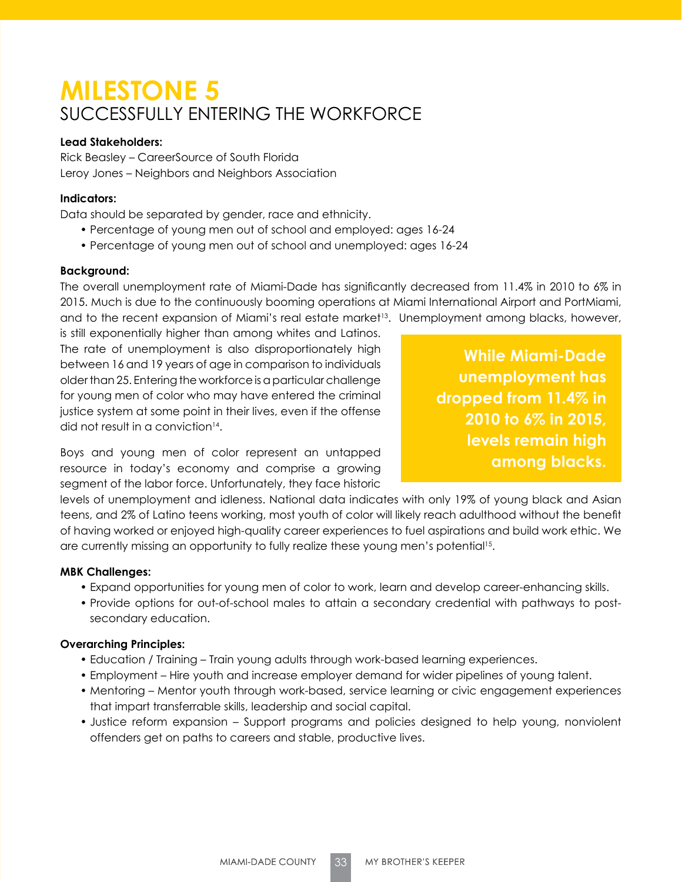# **MILESTONE 5** SUCCESSFULLY ENTERING THE WORKFORCE

### **Lead Stakeholders:**

Rick Beasley – CareerSource of South Florida Leroy Jones – Neighbors and Neighbors Association

## **Indicators:**

Data should be separated by gender, race and ethnicity.

- Percentage of young men out of school and employed: ages 16-24
- Percentage of young men out of school and unemployed: ages 16-24

### **Background:**

The overall unemployment rate of Miami-Dade has significantly decreased from 11.4% in 2010 to 6% in 2015. Much is due to the continuously booming operations at Miami International Airport and PortMiami, and to the recent expansion of Miami's real estate market<sup>13</sup>. Unemployment among blacks, however,

is still exponentially higher than among whites and Latinos. The rate of unemployment is also disproportionately high between 16 and 19 years of age in comparison to individuals older than 25. Entering the workforce is a particular challenge for young men of color who may have entered the criminal justice system at some point in their lives, even if the offense did not result in a conviction<sup>14</sup>.

**While Miami-Dade unemployment has dropped from 11.4% in 2010 to 6% in 2015, levels remain high among blacks.**

Boys and young men of color represent an untapped resource in today's economy and comprise a growing segment of the labor force. Unfortunately, they face historic

levels of unemployment and idleness. National data indicates with only 19% of young black and Asian teens, and 2% of Latino teens working, most youth of color will likely reach adulthood without the benefit of having worked or enjoyed high-quality career experiences to fuel aspirations and build work ethic. We are currently missing an opportunity to fully realize these young men's potential<sup>15</sup>.

### **MBK Challenges:**

- Expand opportunities for young men of color to work, learn and develop career-enhancing skills.
- Provide options for out-of-school males to attain a secondary credential with pathways to postsecondary education.

### **Overarching Principles:**

- Education / Training Train young adults through work-based learning experiences.
- Employment Hire youth and increase employer demand for wider pipelines of young talent.
- Mentoring Mentor youth through work-based, service learning or civic engagement experiences that impart transferrable skills, leadership and social capital.
- Justice reform expansion Support programs and policies designed to help young, nonviolent offenders get on paths to careers and stable, productive lives.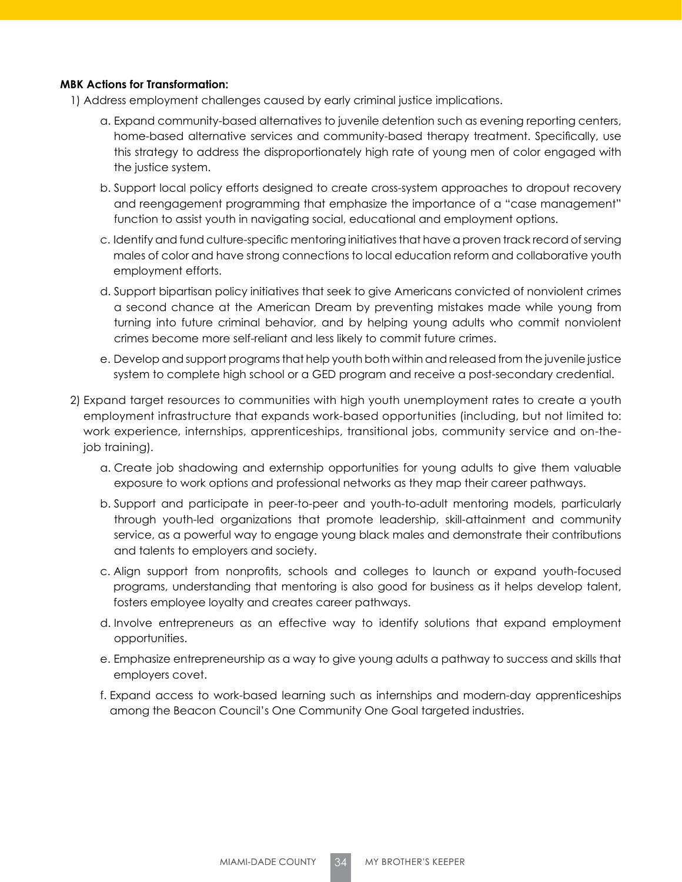#### **MBK Actions for Transformation:**

- 1) Address employment challenges caused by early criminal justice implications.
	- a. Expand community-based alternatives to juvenile detention such as evening reporting centers, home-based alternative services and community-based therapy treatment. Specifically, use this strategy to address the disproportionately high rate of young men of color engaged with the justice system.
	- b. Support local policy efforts designed to create cross-system approaches to dropout recovery and reengagement programming that emphasize the importance of a "case management" function to assist youth in navigating social, educational and employment options.
	- c. Identify and fund culture-specific mentoring initiatives that have a proven track record of serving males of color and have strong connections to local education reform and collaborative youth employment efforts.
	- d. Support bipartisan policy initiatives that seek to give Americans convicted of nonviolent crimes a second chance at the American Dream by preventing mistakes made while young from turning into future criminal behavior, and by helping young adults who commit nonviolent crimes become more self-reliant and less likely to commit future crimes.
	- e. Develop and support programs that help youth both within and released from the juvenile justice system to complete high school or a GED program and receive a post-secondary credential.
- 2) Expand target resources to communities with high youth unemployment rates to create a youth employment infrastructure that expands work-based opportunities (including, but not limited to: work experience, internships, apprenticeships, transitional jobs, community service and on-thejob training).
	- a. Create job shadowing and externship opportunities for young adults to give them valuable exposure to work options and professional networks as they map their career pathways.
	- b. Support and participate in peer-to-peer and youth-to-adult mentoring models, particularly through youth-led organizations that promote leadership, skill-attainment and community service, as a powerful way to engage young black males and demonstrate their contributions and talents to employers and society.
	- c. Align support from nonprofits, schools and colleges to launch or expand youth-focused programs, understanding that mentoring is also good for business as it helps develop talent, fosters employee loyalty and creates career pathways.
	- d. Involve entrepreneurs as an effective way to identify solutions that expand employment opportunities.
	- e. Emphasize entrepreneurship as a way to give young adults a pathway to success and skills that employers covet.
	- f. Expand access to work-based learning such as internships and modern-day apprenticeships among the Beacon Council's One Community One Goal targeted industries.